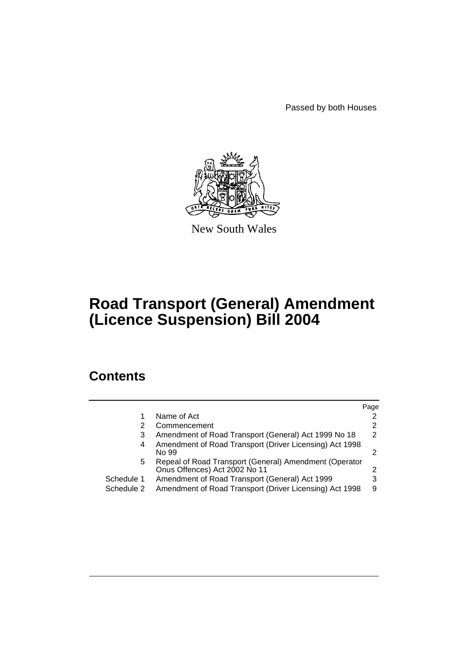Passed by both Houses



New South Wales

# **Road Transport (General) Amendment (Licence Suspension) Bill 2004**

## **Contents**

|            |                                                                                         | Page |
|------------|-----------------------------------------------------------------------------------------|------|
|            | Name of Act                                                                             |      |
| 2          | Commencement                                                                            | 2    |
| 3          | Amendment of Road Transport (General) Act 1999 No 18                                    | 2    |
| 4          | Amendment of Road Transport (Driver Licensing) Act 1998<br>No 99                        | 2    |
| 5          | Repeal of Road Transport (General) Amendment (Operator<br>Onus Offences) Act 2002 No 11 | 2    |
| Schedule 1 | Amendment of Road Transport (General) Act 1999                                          |      |
| Schedule 2 | Amendment of Road Transport (Driver Licensing) Act 1998                                 | 9    |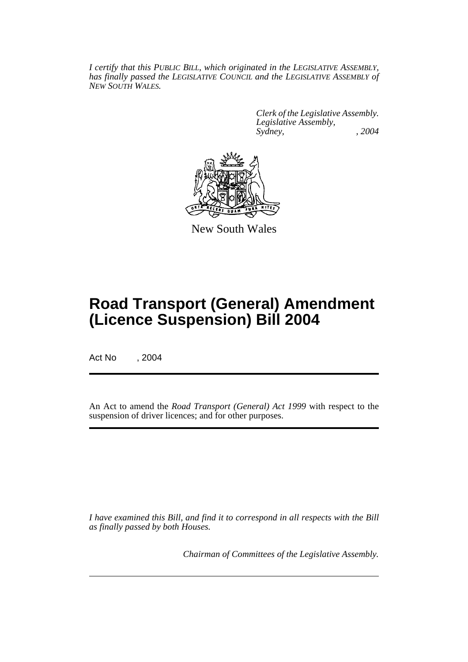*I certify that this PUBLIC BILL, which originated in the LEGISLATIVE ASSEMBLY, has finally passed the LEGISLATIVE COUNCIL and the LEGISLATIVE ASSEMBLY of NEW SOUTH WALES.*

> *Clerk of the Legislative Assembly. Legislative Assembly, Sydney, , 2004*



New South Wales

## **Road Transport (General) Amendment (Licence Suspension) Bill 2004**

Act No , 2004

An Act to amend the *Road Transport (General) Act 1999* with respect to the suspension of driver licences; and for other purposes.

*I have examined this Bill, and find it to correspond in all respects with the Bill as finally passed by both Houses.*

*Chairman of Committees of the Legislative Assembly.*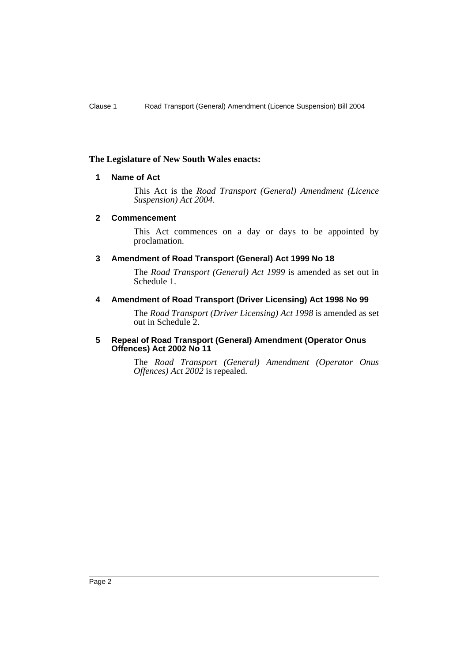## **The Legislature of New South Wales enacts:**

## **1 Name of Act**

This Act is the *Road Transport (General) Amendment (Licence Suspension) Act 2004*.

#### **2 Commencement**

This Act commences on a day or days to be appointed by proclamation.

## **3 Amendment of Road Transport (General) Act 1999 No 18**

The *Road Transport (General) Act 1999* is amended as set out in Schedule 1.

## **4 Amendment of Road Transport (Driver Licensing) Act 1998 No 99**

The *Road Transport (Driver Licensing) Act 1998* is amended as set out in Schedule 2.

### **5 Repeal of Road Transport (General) Amendment (Operator Onus Offences) Act 2002 No 11**

The *Road Transport (General) Amendment (Operator Onus Offences) Act 2002* is repealed.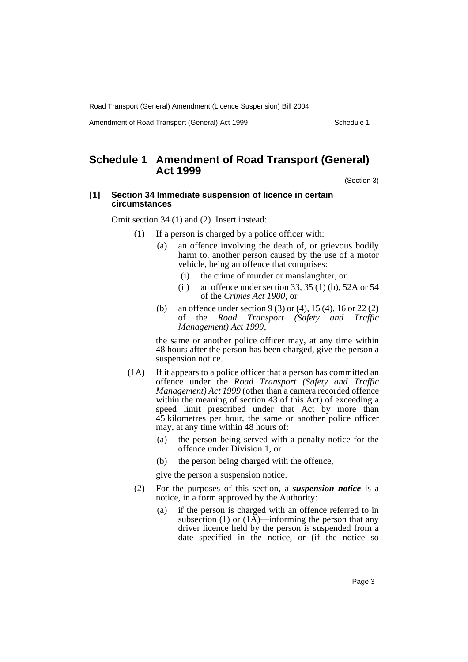Amendment of Road Transport (General) Act 1999 Schedule 1

## **Schedule 1 Amendment of Road Transport (General) Act 1999**

(Section 3)

#### **[1] Section 34 Immediate suspension of licence in certain circumstances**

Omit section 34 (1) and (2). Insert instead:

- (1) If a person is charged by a police officer with:
	- (a) an offence involving the death of, or grievous bodily harm to, another person caused by the use of a motor vehicle, being an offence that comprises:
		- (i) the crime of murder or manslaughter, or
		- (ii) an offence under section 33, 35 (1) (b), 52A or 54 of the *Crimes Act 1900*, or
	- (b) an offence under section 9 (3) or (4), 15 (4), 16 or 22 (2) of the *Road Transport (Safety and Traffic Management) Act 1999*,

the same or another police officer may, at any time within 48 hours after the person has been charged, give the person a suspension notice.

- (1A) If it appears to a police officer that a person has committed an offence under the *Road Transport (Safety and Traffic Management) Act 1999* (other than a camera recorded offence within the meaning of section 43 of this Act) of exceeding a speed limit prescribed under that Act by more than 45 kilometres per hour, the same or another police officer may, at any time within 48 hours of:
	- (a) the person being served with a penalty notice for the offence under Division 1, or
	- (b) the person being charged with the offence,

give the person a suspension notice.

- (2) For the purposes of this section, a *suspension notice* is a notice, in a form approved by the Authority:
	- (a) if the person is charged with an offence referred to in subsection (1) or  $(1\overline{A})$ —informing the person that any driver licence held by the person is suspended from a date specified in the notice, or (if the notice so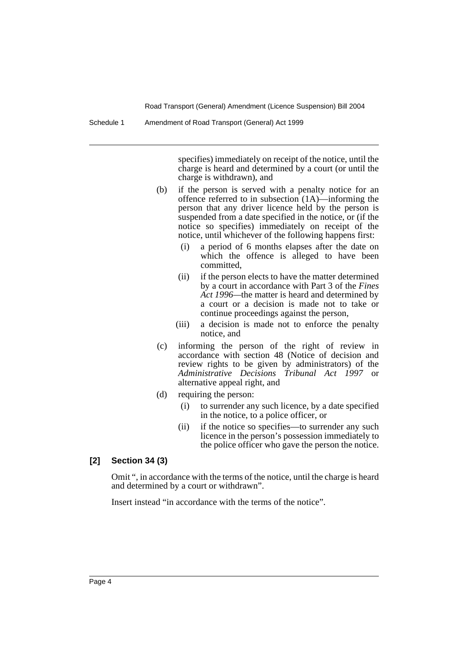Schedule 1 Amendment of Road Transport (General) Act 1999

specifies) immediately on receipt of the notice, until the charge is heard and determined by a court (or until the charge is withdrawn), and

- (b) if the person is served with a penalty notice for an offence referred to in subsection (1A)—informing the person that any driver licence held by the person is suspended from a date specified in the notice, or (if the notice so specifies) immediately on receipt of the notice, until whichever of the following happens first:
	- (i) a period of 6 months elapses after the date on which the offence is alleged to have been committed,
	- (ii) if the person elects to have the matter determined by a court in accordance with Part 3 of the *Fines Act 1996—*the matter is heard and determined by a court or a decision is made not to take or continue proceedings against the person,
	- (iii) a decision is made not to enforce the penalty notice, and
- (c) informing the person of the right of review in accordance with section 48 (Notice of decision and review rights to be given by administrators) of the *Administrative Decisions Tribunal Act 1997* or alternative appeal right, and
- (d) requiring the person:
	- (i) to surrender any such licence, by a date specified in the notice, to a police officer, or
	- (ii) if the notice so specifies—to surrender any such licence in the person's possession immediately to the police officer who gave the person the notice.

## **[2] Section 34 (3)**

Omit ", in accordance with the terms of the notice, until the charge is heard and determined by a court or withdrawn".

Insert instead "in accordance with the terms of the notice".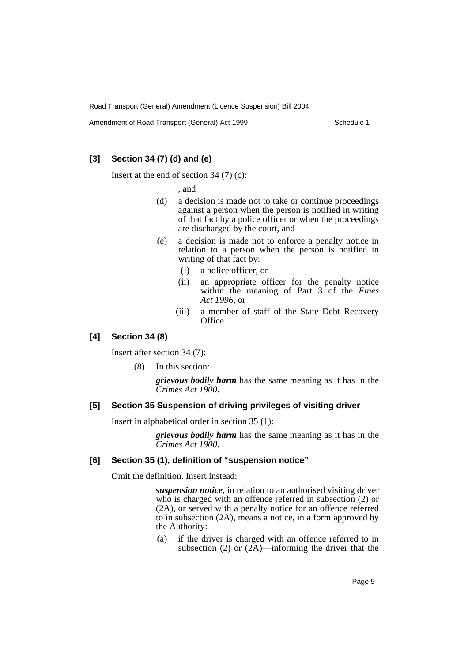Amendment of Road Transport (General) Act 1999 Schedule 1

## **[3] Section 34 (7) (d) and (e)**

Insert at the end of section 34 (7) (c):

, and

- (d) a decision is made not to take or continue proceedings against a person when the person is notified in writing of that fact by a police officer or when the proceedings are discharged by the court, and
- (e) a decision is made not to enforce a penalty notice in relation to a person when the person is notified in writing of that fact by:
	- (i) a police officer, or
	- (ii) an appropriate officer for the penalty notice within the meaning of Part 3 of the *Fines Act 1996*, or
	- (iii) a member of staff of the State Debt Recovery Office.

## **[4] Section 34 (8)**

Insert after section 34 (7):

(8) In this section:

*grievous bodily harm* has the same meaning as it has in the *Crimes Act 1900*.

## **[5] Section 35 Suspension of driving privileges of visiting driver**

Insert in alphabetical order in section 35 (1):

*grievous bodily harm* has the same meaning as it has in the *Crimes Act 1900*.

## **[6] Section 35 (1), definition of "suspension notice"**

Omit the definition. Insert instead:

*suspension notice*, in relation to an authorised visiting driver who is charged with an offence referred in subsection (2) or (2A), or served with a penalty notice for an offence referred to in subsection (2A), means a notice, in a form approved by the Authority:

(a) if the driver is charged with an offence referred to in subsection (2) or  $(2\overline{A})$ —informing the driver that the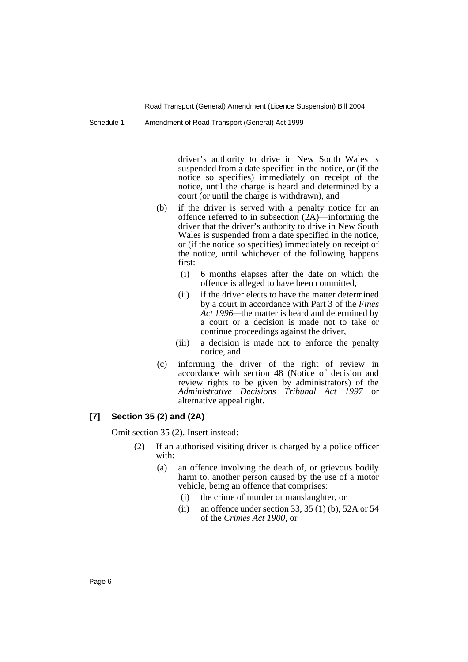Schedule 1 Amendment of Road Transport (General) Act 1999

driver's authority to drive in New South Wales is suspended from a date specified in the notice, or (if the notice so specifies) immediately on receipt of the notice, until the charge is heard and determined by a court (or until the charge is withdrawn), and

- (b) if the driver is served with a penalty notice for an offence referred to in subsection (2A)—informing the driver that the driver's authority to drive in New South Wales is suspended from a date specified in the notice, or (if the notice so specifies) immediately on receipt of the notice, until whichever of the following happens first:
	- (i) 6 months elapses after the date on which the offence is alleged to have been committed,
	- (ii) if the driver elects to have the matter determined by a court in accordance with Part 3 of the *Fines Act 1996—*the matter is heard and determined by a court or a decision is made not to take or continue proceedings against the driver,
	- (iii) a decision is made not to enforce the penalty notice, and
- (c) informing the driver of the right of review in accordance with section 48 (Notice of decision and review rights to be given by administrators) of the *Administrative Decisions Tribunal Act 1997* or alternative appeal right.

## **[7] Section 35 (2) and (2A)**

Omit section 35 (2). Insert instead:

- (2) If an authorised visiting driver is charged by a police officer with:
	- (a) an offence involving the death of, or grievous bodily harm to, another person caused by the use of a motor vehicle, being an offence that comprises:
		- (i) the crime of murder or manslaughter, or
		- (ii) an offence under section 33, 35 (1) (b), 52A or 54 of the *Crimes Act 1900*, or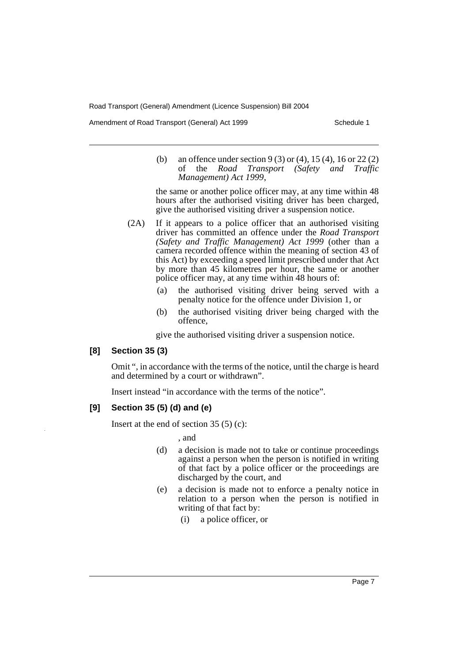Amendment of Road Transport (General) Act 1999 Schedule 1

(b) an offence under section 9 (3) or (4), 15 (4), 16 or 22 (2) of the *Road Transport (Safety and Traffic Management) Act 1999*,

the same or another police officer may, at any time within 48 hours after the authorised visiting driver has been charged, give the authorised visiting driver a suspension notice.

- (2A) If it appears to a police officer that an authorised visiting driver has committed an offence under the *Road Transport (Safety and Traffic Management) Act 1999* (other than a camera recorded offence within the meaning of section 43 of this Act) by exceeding a speed limit prescribed under that Act by more than 45 kilometres per hour, the same or another police officer may, at any time within 48 hours of:
	- (a) the authorised visiting driver being served with a penalty notice for the offence under Division 1, or
	- (b) the authorised visiting driver being charged with the offence,

give the authorised visiting driver a suspension notice.

## **[8] Section 35 (3)**

Omit ", in accordance with the terms of the notice, until the charge is heard and determined by a court or withdrawn".

Insert instead "in accordance with the terms of the notice".

## **[9] Section 35 (5) (d) and (e)**

Insert at the end of section 35 (5) (c):

, and

- (d) a decision is made not to take or continue proceedings against a person when the person is notified in writing of that fact by a police officer or the proceedings are discharged by the court, and
- (e) a decision is made not to enforce a penalty notice in relation to a person when the person is notified in writing of that fact by:
	- (i) a police officer, or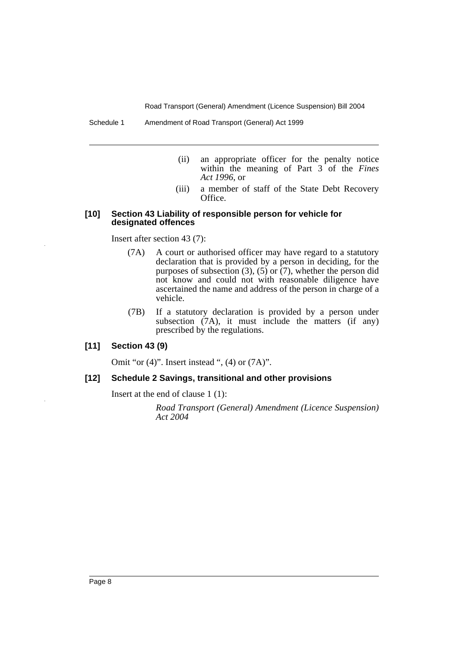Schedule 1 Amendment of Road Transport (General) Act 1999

- (ii) an appropriate officer for the penalty notice within the meaning of Part 3 of the *Fines Act 1996*, or
- (iii) a member of staff of the State Debt Recovery Office.

#### **[10] Section 43 Liability of responsible person for vehicle for designated offences**

Insert after section 43 (7):

- (7A) A court or authorised officer may have regard to a statutory declaration that is provided by a person in deciding, for the purposes of subsection (3), (5) or  $(7)$ , whether the person did not know and could not with reasonable diligence have ascertained the name and address of the person in charge of a vehicle.
- (7B) If a statutory declaration is provided by a person under subsection  $(7A)$ , it must include the matters  $(if any)$ prescribed by the regulations.

**[11] Section 43 (9)**

Omit "or (4)". Insert instead ", (4) or (7A)".

### **[12] Schedule 2 Savings, transitional and other provisions**

Insert at the end of clause 1 (1):

*Road Transport (General) Amendment (Licence Suspension) Act 2004*